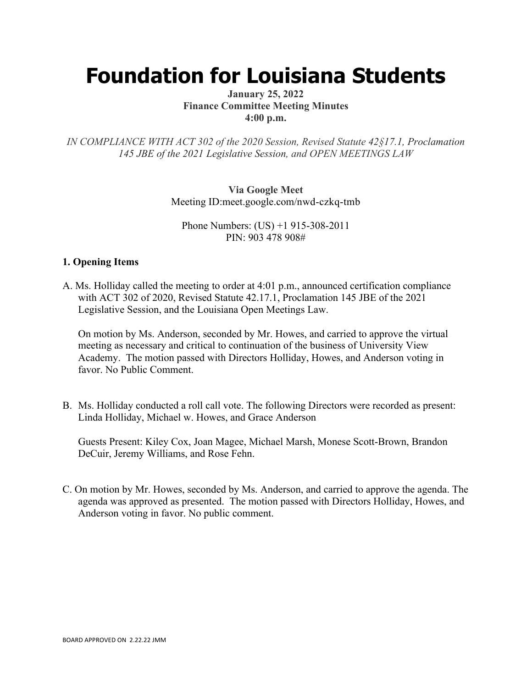# **Foundation for Louisiana Students**

# **January 25, 2022 Finance Committee Meeting Minutes 4:00 p.m.**

*IN COMPLIANCE WITH ACT 302 of the 2020 Session, Revised Statute 42§17.1, Proclamation 145 JBE of the 2021 Legislative Session, and OPEN MEETINGS LAW*

> **Via Google Meet**  Meeting ID:meet.google.com/nwd-czkq-tmb

Phone Numbers: (US) +1 915-308-2011 PIN: 903 478 908#

# **1. Opening Items**

A. Ms. Holliday called the meeting to order at 4:01 p.m., announced certification compliance with ACT 302 of 2020, Revised Statute 42.17.1, Proclamation 145 JBE of the 2021 Legislative Session, and the Louisiana Open Meetings Law.

On motion by Ms. Anderson, seconded by Mr. Howes, and carried to approve the virtual meeting as necessary and critical to continuation of the business of University View Academy. The motion passed with Directors Holliday, Howes, and Anderson voting in favor. No Public Comment.

B. Ms. Holliday conducted a roll call vote. The following Directors were recorded as present: Linda Holliday, Michael w. Howes, and Grace Anderson

Guests Present: Kiley Cox, Joan Magee, Michael Marsh, Monese Scott-Brown, Brandon DeCuir, Jeremy Williams, and Rose Fehn.

C. On motion by Mr. Howes, seconded by Ms. Anderson, and carried to approve the agenda. The agenda was approved as presented. The motion passed with Directors Holliday, Howes, and Anderson voting in favor. No public comment.